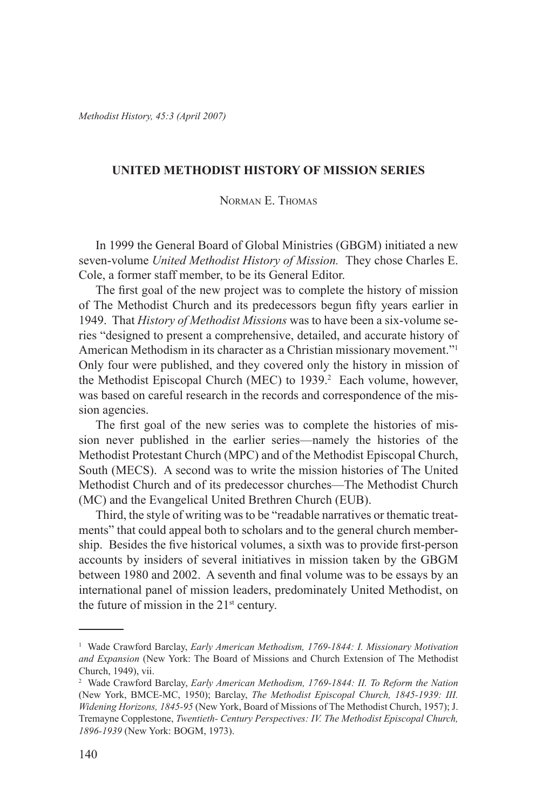*Methodist History, 45:3 (April 2007)*

## **UNITED METHODIST HISTORY OF MISSION SERIES**

# Norman E. Thomas

In 1999 the General Board of Global Ministries (GBGM) initiated a new seven-volume *United Methodist History of Mission.* They chose Charles E. Cole, a former staff member, to be its General Editor.

The first goal of the new project was to complete the history of mission of The Methodist Church and its predecessors begun fifty years earlier in 1949. That *History of Methodist Missions* was to have been a six-volume series "designed to present a comprehensive, detailed, and accurate history of American Methodism in its character as a Christian missionary movement."1 Only four were published, and they covered only the history in mission of the Methodist Episcopal Church (MEC) to 1939.<sup>2</sup> Each volume, however, was based on careful research in the records and correspondence of the mission agencies.

The first goal of the new series was to complete the histories of mission never published in the earlier series—namely the histories of the Methodist Protestant Church (MPC) and of the Methodist Episcopal Church, South (MECS). A second was to write the mission histories of The United Methodist Church and of its predecessor churches—The Methodist Church (MC) and the Evangelical United Brethren Church (EUB).

Third, the style of writing was to be "readable narratives or thematic treatments" that could appeal both to scholars and to the general church membership. Besides the five historical volumes, a sixth was to provide first-person accounts by insiders of several initiatives in mission taken by the GBGM between 1980 and 2002. A seventh and final volume was to be essays by an international panel of mission leaders, predominately United Methodist, on the future of mission in the  $21<sup>st</sup>$  century.

<sup>&</sup>lt;sup>1</sup> Wade Crawford Barclay, *Early American Methodism, 1769-1844: I. Missionary Motivation and Expansion* (New York: The Board of Missions and Church Extension of The Methodist Church, 1949), vii.

<sup>2</sup> Wade Crawford Barclay, *Early American Methodism, 1769-1844: II. To Reform the Nation* (New York, BMCE-MC, 1950); Barclay, *The Methodist Episcopal Church, 1845-1939: III. Widening Horizons, 1845-95* (New York, Board of Missions of The Methodist Church, 1957); J. Tremayne Copplestone, *Twentieth- Century Perspectives: IV. The Methodist Episcopal Church, 1896-1939* (New York: BOGM, 1973).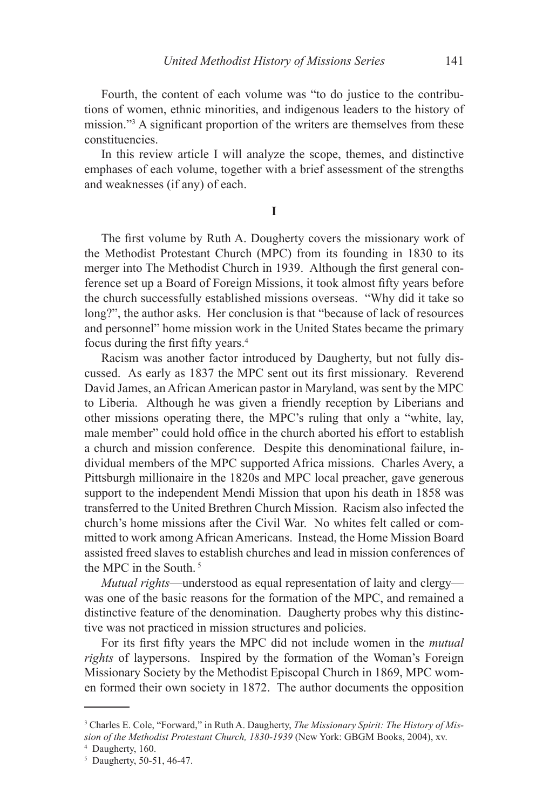Fourth, the content of each volume was "to do justice to the contributions of women, ethnic minorities, and indigenous leaders to the history of mission."3 A significant proportion of the writers are themselves from these constituencies.

In this review article I will analyze the scope, themes, and distinctive emphases of each volume, together with a brief assessment of the strengths and weaknesses (if any) of each.

**I**

The first volume by Ruth A. Dougherty covers the missionary work of the Methodist Protestant Church (MPC) from its founding in 1830 to its merger into The Methodist Church in 1939. Although the first general conference set up a Board of Foreign Missions, it took almost fifty years before the church successfully established missions overseas. "Why did it take so long?", the author asks. Her conclusion is that "because of lack of resources and personnel" home mission work in the United States became the primary focus during the first fifty years.<sup>4</sup>

Racism was another factor introduced by Daugherty, but not fully discussed. As early as 1837 the MPC sent out its first missionary. Reverend David James, an African American pastor in Maryland, was sent by the MPC to Liberia. Although he was given a friendly reception by Liberians and other missions operating there, the MPC's ruling that only a "white, lay, male member" could hold office in the church aborted his effort to establish a church and mission conference. Despite this denominational failure, individual members of the MPC supported Africa missions. Charles Avery, a Pittsburgh millionaire in the 1820s and MPC local preacher, gave generous support to the independent Mendi Mission that upon his death in 1858 was transferred to the United Brethren Church Mission. Racism also infected the church's home missions after the Civil War. No whites felt called or committed to work among African Americans. Instead, the Home Mission Board assisted freed slaves to establish churches and lead in mission conferences of the MPC in the South. <sup>5</sup>

*Mutual rights*—understood as equal representation of laity and clergy was one of the basic reasons for the formation of the MPC, and remained a distinctive feature of the denomination. Daugherty probes why this distinctive was not practiced in mission structures and policies.

For its first fifty years the MPC did not include women in the *mutual rights* of laypersons. Inspired by the formation of the Woman's Foreign Missionary Society by the Methodist Episcopal Church in 1869, MPC women formed their own society in 1872. The author documents the opposition

<sup>3</sup> Charles E. Cole, "Forward," in Ruth A. Daugherty, *The Missionary Spirit: The History of Mission of the Methodist Protestant Church, 1830-1939* (New York: GBGM Books, 2004), xv.

<sup>4</sup> Daugherty, 160.

<sup>5</sup> Daugherty, 50-51, 46-47.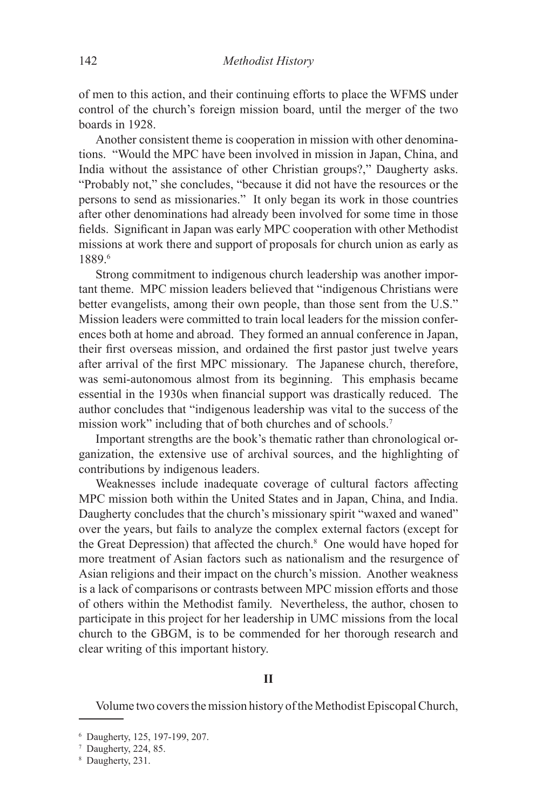of men to this action, and their continuing efforts to place the WFMS under control of the church's foreign mission board, until the merger of the two boards in 1928.

Another consistent theme is cooperation in mission with other denominations. "Would the MPC have been involved in mission in Japan, China, and India without the assistance of other Christian groups?," Daugherty asks. "Probably not," she concludes, "because it did not have the resources or the persons to send as missionaries." It only began its work in those countries after other denominations had already been involved for some time in those fields. Significant in Japan was early MPC cooperation with other Methodist missions at work there and support of proposals for church union as early as 1889.6

Strong commitment to indigenous church leadership was another important theme. MPC mission leaders believed that "indigenous Christians were better evangelists, among their own people, than those sent from the U.S." Mission leaders were committed to train local leaders for the mission conferences both at home and abroad. They formed an annual conference in Japan, their first overseas mission, and ordained the first pastor just twelve years after arrival of the first MPC missionary. The Japanese church, therefore, was semi-autonomous almost from its beginning. This emphasis became essential in the 1930s when financial support was drastically reduced. The author concludes that "indigenous leadership was vital to the success of the mission work" including that of both churches and of schools.7

Important strengths are the book's thematic rather than chronological organization, the extensive use of archival sources, and the highlighting of contributions by indigenous leaders.

Weaknesses include inadequate coverage of cultural factors affecting MPC mission both within the United States and in Japan, China, and India. Daugherty concludes that the church's missionary spirit "waxed and waned" over the years, but fails to analyze the complex external factors (except for the Great Depression) that affected the church.<sup>8</sup> One would have hoped for more treatment of Asian factors such as nationalism and the resurgence of Asian religions and their impact on the church's mission. Another weakness is a lack of comparisons or contrasts between MPC mission efforts and those of others within the Methodist family. Nevertheless, the author, chosen to participate in this project for her leadership in UMC missions from the local church to the GBGM, is to be commended for her thorough research and clear writing of this important history.

#### **II**

Volume two covers the mission history of the Methodist Episcopal Church,

<sup>6</sup> Daugherty, 125, 197-199, 207.

<sup>7</sup> Daugherty, 224, 85.

<sup>8</sup> Daugherty, 231.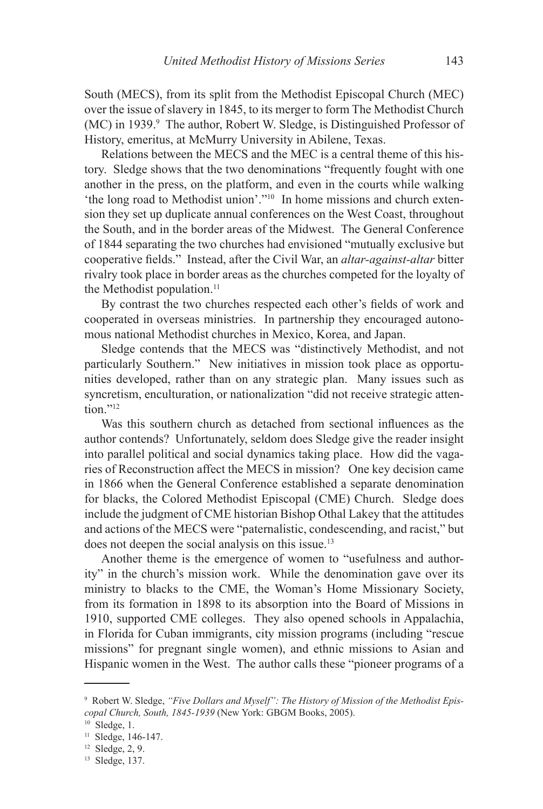South (MECS), from its split from the Methodist Episcopal Church (MEC) over the issue of slavery in 1845, to its merger to form The Methodist Church (MC) in 1939.<sup>9</sup> The author, Robert W. Sledge, is Distinguished Professor of History, emeritus, at McMurry University in Abilene, Texas.

Relations between the MECS and the MEC is a central theme of this history. Sledge shows that the two denominations "frequently fought with one another in the press, on the platform, and even in the courts while walking 'the long road to Methodist union'."10 In home missions and church extension they set up duplicate annual conferences on the West Coast, throughout the South, and in the border areas of the Midwest. The General Conference of 1844 separating the two churches had envisioned "mutually exclusive but cooperative fields." Instead, after the Civil War, an *altar-against-altar* bitter rivalry took place in border areas as the churches competed for the loyalty of the Methodist population.<sup>11</sup>

By contrast the two churches respected each other's fields of work and cooperated in overseas ministries. In partnership they encouraged autonomous national Methodist churches in Mexico, Korea, and Japan.

Sledge contends that the MECS was "distinctively Methodist, and not particularly Southern." New initiatives in mission took place as opportunities developed, rather than on any strategic plan. Many issues such as syncretism, enculturation, or nationalization "did not receive strategic attention<sup>"12</sup>

Was this southern church as detached from sectional influences as the author contends? Unfortunately, seldom does Sledge give the reader insight into parallel political and social dynamics taking place. How did the vagaries of Reconstruction affect the MECS in mission? One key decision came in 1866 when the General Conference established a separate denomination for blacks, the Colored Methodist Episcopal (CME) Church. Sledge does include the judgment of CME historian Bishop Othal Lakey that the attitudes and actions of the MECS were "paternalistic, condescending, and racist," but does not deepen the social analysis on this issue.13

Another theme is the emergence of women to "usefulness and authority" in the church's mission work. While the denomination gave over its ministry to blacks to the CME, the Woman's Home Missionary Society, from its formation in 1898 to its absorption into the Board of Missions in 1910, supported CME colleges. They also opened schools in Appalachia, in Florida for Cuban immigrants, city mission programs (including "rescue missions" for pregnant single women), and ethnic missions to Asian and Hispanic women in the West. The author calls these "pioneer programs of a

<sup>9</sup> Robert W. Sledge, *"Five Dollars and Myself": The History of Mission of the Methodist Episcopal Church, South, 1845-1939* (New York: GBGM Books, 2005).

 $10$  Sledge, 1.

<sup>&</sup>lt;sup>11</sup> Sledge, 146-147.

<sup>12</sup> Sledge, 2, 9.

<sup>13</sup> Sledge, 137.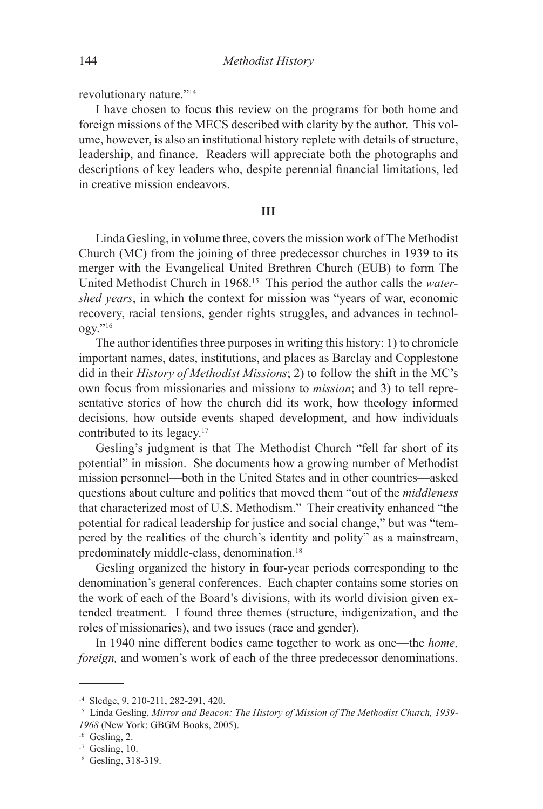revolutionary nature."14

I have chosen to focus this review on the programs for both home and foreign missions of the MECS described with clarity by the author. This volume, however, is also an institutional history replete with details of structure, leadership, and finance. Readers will appreciate both the photographs and descriptions of key leaders who, despite perennial financial limitations, led in creative mission endeavors.

### **III**

Linda Gesling, in volume three, covers the mission work of The Methodist Church (MC) from the joining of three predecessor churches in 1939 to its merger with the Evangelical United Brethren Church (EUB) to form The United Methodist Church in 1968.15 This period the author calls the *watershed years*, in which the context for mission was "years of war, economic recovery, racial tensions, gender rights struggles, and advances in technology."16

The author identifies three purposes in writing this history: 1) to chronicle important names, dates, institutions, and places as Barclay and Copplestone did in their *History of Methodist Missions*; 2) to follow the shift in the MC's own focus from missionaries and mission*s* to *mission*; and 3) to tell representative stories of how the church did its work, how theology informed decisions, how outside events shaped development, and how individuals contributed to its legacy.17

Gesling's judgment is that The Methodist Church "fell far short of its potential" in mission. She documents how a growing number of Methodist mission personnel—both in the United States and in other countries—asked questions about culture and politics that moved them "out of the *middleness* that characterized most of U.S. Methodism." Their creativity enhanced "the potential for radical leadership for justice and social change," but was "tempered by the realities of the church's identity and polity" as a mainstream, predominately middle-class, denomination.<sup>18</sup>

Gesling organized the history in four-year periods corresponding to the denomination's general conferences. Each chapter contains some stories on the work of each of the Board's divisions, with its world division given extended treatment. I found three themes (structure, indigenization, and the roles of missionaries), and two issues (race and gender).

In 1940 nine different bodies came together to work as one—the *home, foreign*, and women's work of each of the three predecessor denominations.

<sup>14</sup> Sledge, 9, 210-211, 282-291, 420.

<sup>15</sup> Linda Gesling, *Mirror and Beacon: The History of Mission of The Methodist Church, 1939- 1968* (New York: GBGM Books, 2005).

 $16$  Gesling, 2.

 $17$  Gesling, 10.

<sup>18</sup> Gesling, 318-319.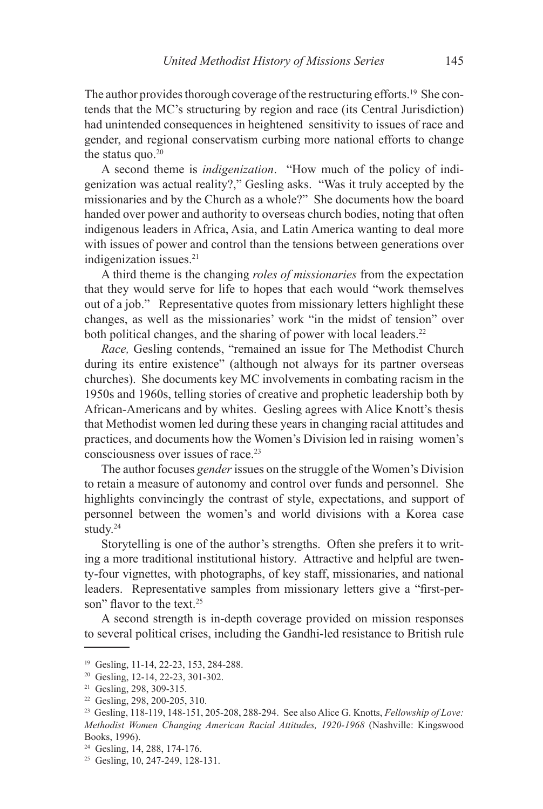The author provides thorough coverage of the restructuring efforts.<sup>19</sup> She contends that the MC's structuring by region and race (its Central Jurisdiction) had unintended consequences in heightened sensitivity to issues of race and gender, and regional conservatism curbing more national efforts to change the status quo. $20$ 

A second theme is *indigenization*. "How much of the policy of indigenization was actual reality?," Gesling asks. "Was it truly accepted by the missionaries and by the Church as a whole?" She documents how the board handed over power and authority to overseas church bodies, noting that often indigenous leaders in Africa, Asia, and Latin America wanting to deal more with issues of power and control than the tensions between generations over indigenization issues.<sup>21</sup>

A third theme is the changing *roles of missionaries* from the expectation that they would serve for life to hopes that each would "work themselves out of a job." Representative quotes from missionary letters highlight these changes, as well as the missionaries' work "in the midst of tension" over both political changes, and the sharing of power with local leaders.<sup>22</sup>

*Race,* Gesling contends, "remained an issue for The Methodist Church during its entire existence" (although not always for its partner overseas churches). She documents key MC involvements in combating racism in the 1950s and 1960s, telling stories of creative and prophetic leadership both by African-Americans and by whites. Gesling agrees with Alice Knott's thesis that Methodist women led during these years in changing racial attitudes and practices, and documents how the Women's Division led in raising women's consciousness over issues of race.<sup>23</sup>

The author focuses *gender* issues on the struggle of the Women's Division to retain a measure of autonomy and control over funds and personnel. She highlights convincingly the contrast of style, expectations, and support of personnel between the women's and world divisions with a Korea case study.24

Storytelling is one of the author's strengths. Often she prefers it to writing a more traditional institutional history. Attractive and helpful are twenty-four vignettes, with photographs, of key staff, missionaries, and national leaders. Representative samples from missionary letters give a "first-person" flavor to the text.<sup>25</sup>

A second strength is in-depth coverage provided on mission responses to several political crises, including the Gandhi-led resistance to British rule

<sup>19</sup> Gesling, 11-14, 22-23, 153, 284-288.

<sup>20</sup> Gesling, 12-14, 22-23, 301-302.

<sup>21</sup> Gesling, 298, 309-315.

<sup>22</sup> Gesling, 298, 200-205, 310.

<sup>23</sup> Gesling, 118-119, 148-151, 205-208, 288-294. See also Alice G. Knotts, *Fellowship of Love: Methodist Women Changing American Racial Attitudes, 1920-1968* (Nashville: Kingswood Books, 1996).

<sup>24</sup> Gesling, 14, 288, 174-176.

<sup>25</sup> Gesling, 10, 247-249, 128-131.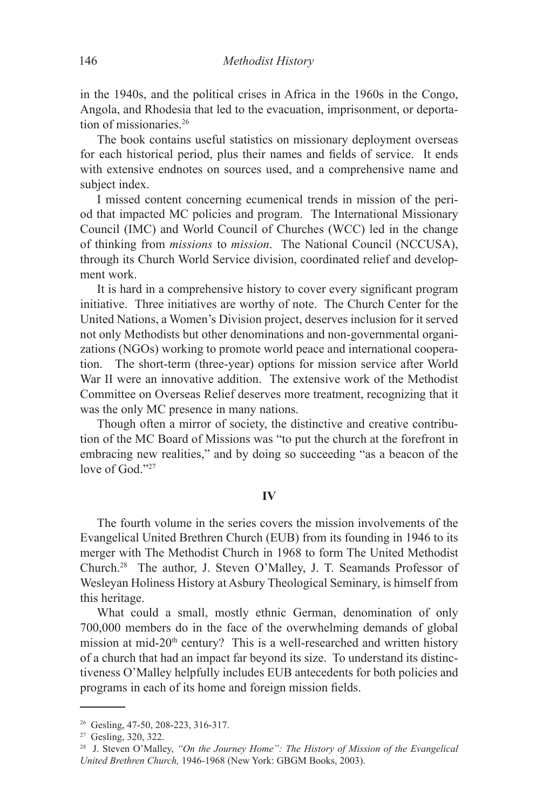in the 1940s, and the political crises in Africa in the 1960s in the Congo, Angola, and Rhodesia that led to the evacuation, imprisonment, or deportation of missionaries.26

The book contains useful statistics on missionary deployment overseas for each historical period, plus their names and fields of service. It ends with extensive endnotes on sources used, and a comprehensive name and subject index.

I missed content concerning ecumenical trends in mission of the period that impacted MC policies and program. The International Missionary Council (IMC) and World Council of Churches (WCC) led in the change of thinking from *missions* to *mission*. The National Council (NCCUSA), through its Church World Service division, coordinated relief and development work.

It is hard in a comprehensive history to cover every significant program initiative. Three initiatives are worthy of note. The Church Center for the United Nations, a Women's Division project, deserves inclusion for it served not only Methodists but other denominations and non-governmental organizations (NGOs) working to promote world peace and international cooperation. The short-term (three-year) options for mission service after World War II were an innovative addition. The extensive work of the Methodist Committee on Overseas Relief deserves more treatment, recognizing that it was the only MC presence in many nations.

Though often a mirror of society, the distinctive and creative contribution of the MC Board of Missions was "to put the church at the forefront in embracing new realities," and by doing so succeeding "as a beacon of the love of God<sup>327</sup>

### **IV**

The fourth volume in the series covers the mission involvements of the Evangelical United Brethren Church (EUB) from its founding in 1946 to its merger with The Methodist Church in 1968 to form The United Methodist Church.28 The author, J. Steven O'Malley, J. T. Seamands Professor of Wesleyan Holiness History at Asbury Theological Seminary, is himself from this heritage.

What could a small, mostly ethnic German, denomination of only 700,000 members do in the face of the overwhelming demands of global mission at mid-20<sup>th</sup> century? This is a well-researched and written history of a church that had an impact far beyond its size. To understand its distinctiveness O'Malley helpfully includes EUB antecedents for both policies and programs in each of its home and foreign mission fields.

<sup>&</sup>lt;sup>26</sup> Gesling, 47-50, 208-223, 316-317.

<sup>27</sup> Gesling, 320, 322.

<sup>28</sup> J. Steven O'Malley, *"On the Journey Home": The History of Mission of the Evangelical United Brethren Church,* 1946-1968 (New York: GBGM Books, 2003).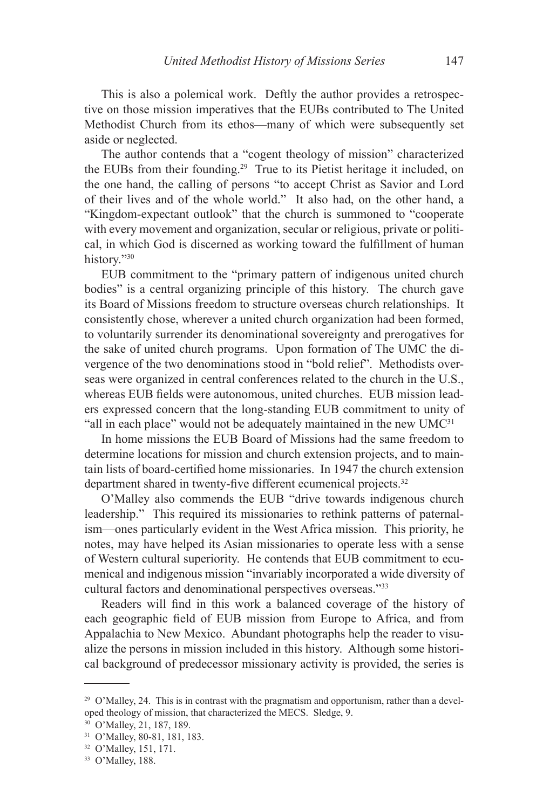This is also a polemical work. Deftly the author provides a retrospective on those mission imperatives that the EUBs contributed to The United Methodist Church from its ethos—many of which were subsequently set aside or neglected.

The author contends that a "cogent theology of mission" characterized the EUBs from their founding.29 True to its Pietist heritage it included, on the one hand, the calling of persons "to accept Christ as Savior and Lord of their lives and of the whole world." It also had, on the other hand, a "Kingdom-expectant outlook" that the church is summoned to "cooperate with every movement and organization, secular or religious, private or political, in which God is discerned as working toward the fulfillment of human history."30

EUB commitment to the "primary pattern of indigenous united church bodies" is a central organizing principle of this history. The church gave its Board of Missions freedom to structure overseas church relationships. It consistently chose, wherever a united church organization had been formed, to voluntarily surrender its denominational sovereignty and prerogatives for the sake of united church programs. Upon formation of The UMC the divergence of the two denominations stood in "bold relief". Methodists overseas were organized in central conferences related to the church in the U.S., whereas EUB fields were autonomous, united churches. EUB mission leaders expressed concern that the long-standing EUB commitment to unity of "all in each place" would not be adequately maintained in the new UMC<sup>31</sup>

In home missions the EUB Board of Missions had the same freedom to determine locations for mission and church extension projects, and to maintain lists of board-certified home missionaries. In 1947 the church extension department shared in twenty-five different ecumenical projects.<sup>32</sup>

O'Malley also commends the EUB "drive towards indigenous church leadership." This required its missionaries to rethink patterns of paternalism—ones particularly evident in the West Africa mission. This priority, he notes, may have helped its Asian missionaries to operate less with a sense of Western cultural superiority. He contends that EUB commitment to ecumenical and indigenous mission "invariably incorporated a wide diversity of cultural factors and denominational perspectives overseas."33

Readers will find in this work a balanced coverage of the history of each geographic field of EUB mission from Europe to Africa, and from Appalachia to New Mexico. Abundant photographs help the reader to visualize the persons in mission included in this history. Although some historical background of predecessor missionary activity is provided, the series is

<sup>&</sup>lt;sup>29</sup> O'Malley, 24. This is in contrast with the pragmatism and opportunism, rather than a developed theology of mission, that characterized the MECS. Sledge, 9.

<sup>30</sup> O'Malley, 21, 187, 189.

<sup>31</sup> O'Malley, 80-81, 181, 183.

<sup>32</sup> O'Malley, 151, 171.

<sup>33</sup> O'Malley, 188.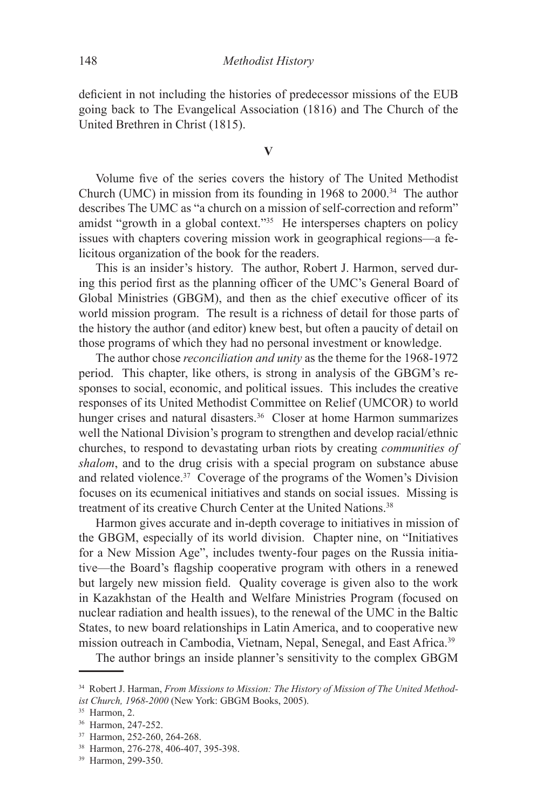deficient in not including the histories of predecessor missions of the EUB going back to The Evangelical Association (1816) and The Church of the United Brethren in Christ (1815).

**V**

Volume five of the series covers the history of The United Methodist Church (UMC) in mission from its founding in  $1968$  to  $2000<sup>34</sup>$ . The author describes The UMC as "a church on a mission of self-correction and reform" amidst "growth in a global context."<sup>35</sup> He intersperses chapters on policy issues with chapters covering mission work in geographical regions—a felicitous organization of the book for the readers.

This is an insider's history. The author, Robert J. Harmon, served during this period first as the planning officer of the UMC's General Board of Global Ministries (GBGM), and then as the chief executive officer of its world mission program. The result is a richness of detail for those parts of the history the author (and editor) knew best, but often a paucity of detail on those programs of which they had no personal investment or knowledge.

The author chose *reconciliation and unity* as the theme for the 1968-1972 period. This chapter, like others, is strong in analysis of the GBGM's responses to social, economic, and political issues. This includes the creative responses of its United Methodist Committee on Relief (UMCOR) to world hunger crises and natural disasters.<sup>36</sup> Closer at home Harmon summarizes well the National Division's program to strengthen and develop racial/ethnic churches, to respond to devastating urban riots by creating *communities of shalom*, and to the drug crisis with a special program on substance abuse and related violence.<sup>37</sup> Coverage of the programs of the Women's Division focuses on its ecumenical initiatives and stands on social issues. Missing is treatment of its creative Church Center at the United Nations.<sup>38</sup>

Harmon gives accurate and in-depth coverage to initiatives in mission of the GBGM, especially of its world division. Chapter nine, on "Initiatives for a New Mission Age", includes twenty-four pages on the Russia initiative—the Board's flagship cooperative program with others in a renewed but largely new mission field. Quality coverage is given also to the work in Kazakhstan of the Health and Welfare Ministries Program (focused on nuclear radiation and health issues), to the renewal of the UMC in the Baltic States, to new board relationships in Latin America, and to cooperative new mission outreach in Cambodia, Vietnam, Nepal, Senegal, and East Africa.<sup>39</sup>

The author brings an inside planner's sensitivity to the complex GBGM

<sup>34</sup> Robert J. Harman, *From Missions to Mission: The History of Mission of The United Methodist Church, 1968-2000* (New York: GBGM Books, 2005).

 $35$  Harmon, 2.

<sup>36</sup> Harmon, 247-252.

<sup>37</sup> Harmon, 252-260, 264-268.

<sup>38</sup> Harmon, 276-278, 406-407, 395-398.

<sup>39</sup> Harmon, 299-350.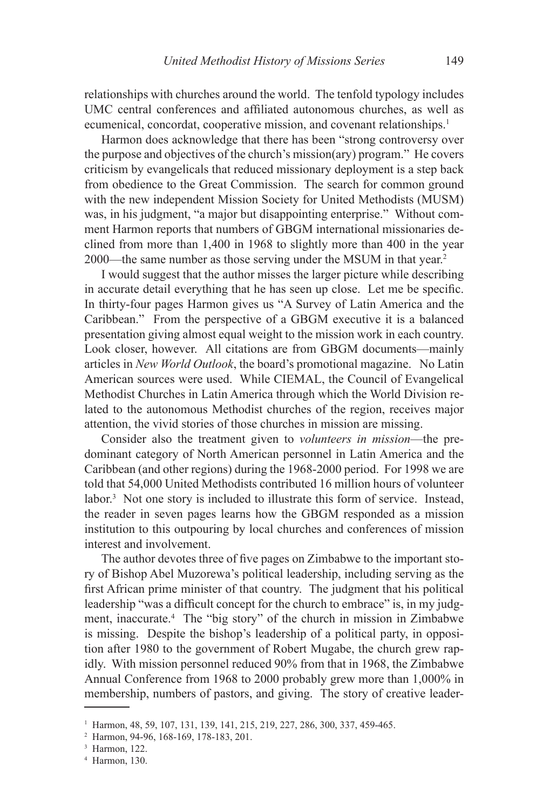relationships with churches around the world. The tenfold typology includes UMC central conferences and affiliated autonomous churches, as well as ecumenical, concordat, cooperative mission, and covenant relationships.<sup>1</sup>

Harmon does acknowledge that there has been "strong controversy over the purpose and objectives of the church's mission(ary) program." He covers criticism by evangelicals that reduced missionary deployment is a step back from obedience to the Great Commission. The search for common ground with the new independent Mission Society for United Methodists (MUSM) was, in his judgment, "a major but disappointing enterprise." Without comment Harmon reports that numbers of GBGM international missionaries declined from more than 1,400 in 1968 to slightly more than 400 in the year 2000—the same number as those serving under the MSUM in that year.2

I would suggest that the author misses the larger picture while describing in accurate detail everything that he has seen up close. Let me be specific. In thirty-four pages Harmon gives us "A Survey of Latin America and the Caribbean." From the perspective of a GBGM executive it is a balanced presentation giving almost equal weight to the mission work in each country. Look closer, however. All citations are from GBGM documents—mainly articles in *New World Outlook*, the board's promotional magazine. No Latin American sources were used. While CIEMAL, the Council of Evangelical Methodist Churches in Latin America through which the World Division related to the autonomous Methodist churches of the region, receives major attention, the vivid stories of those churches in mission are missing.

Consider also the treatment given to *volunteers in mission*—the predominant category of North American personnel in Latin America and the Caribbean (and other regions) during the 1968-2000 period. For 1998 we are told that 54,000 United Methodists contributed 16 million hours of volunteer labor.3 Not one story is included to illustrate this form of service. Instead, the reader in seven pages learns how the GBGM responded as a mission institution to this outpouring by local churches and conferences of mission interest and involvement.

The author devotes three of five pages on Zimbabwe to the important story of Bishop Abel Muzorewa's political leadership, including serving as the first African prime minister of that country. The judgment that his political leadership "was a difficult concept for the church to embrace" is, in my judgment, inaccurate.4 The "big story" of the church in mission in Zimbabwe is missing. Despite the bishop's leadership of a political party, in opposition after 1980 to the government of Robert Mugabe, the church grew rapidly. With mission personnel reduced 90% from that in 1968, the Zimbabwe Annual Conference from 1968 to 2000 probably grew more than 1,000% in membership, numbers of pastors, and giving. The story of creative leader-

<sup>1</sup> Harmon, 48, 59, 107, 131, 139, 141, 215, 219, 227, 286, 300, 337, 459-465.

<sup>2</sup> Harmon, 94-96, 168-169, 178-183, 201.

<sup>3</sup> Harmon, 122.

<sup>4</sup> Harmon, 130.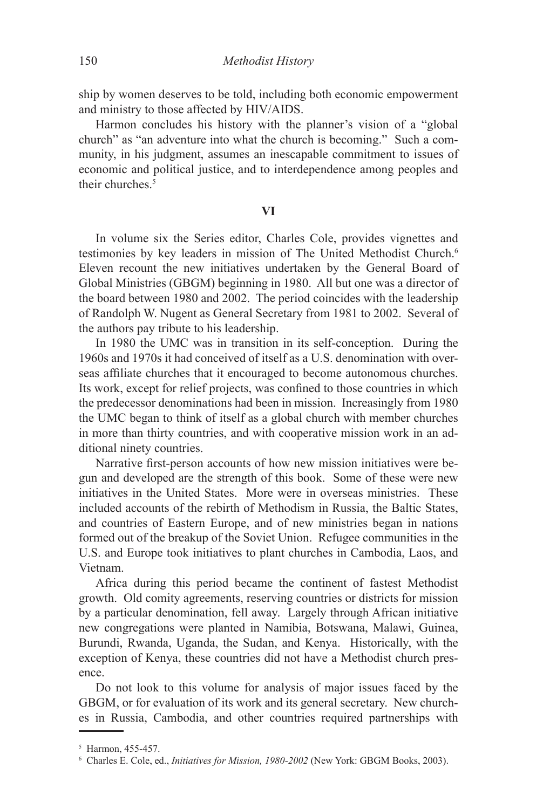ship by women deserves to be told, including both economic empowerment and ministry to those affected by HIV/AIDS.

Harmon concludes his history with the planner's vision of a "global church" as "an adventure into what the church is becoming." Such a community, in his judgment, assumes an inescapable commitment to issues of economic and political justice, and to interdependence among peoples and their churches.<sup>5</sup>

## **VI**

In volume six the Series editor, Charles Cole, provides vignettes and testimonies by key leaders in mission of The United Methodist Church.<sup>6</sup> Eleven recount the new initiatives undertaken by the General Board of Global Ministries (GBGM) beginning in 1980. All but one was a director of the board between 1980 and 2002. The period coincides with the leadership of Randolph W. Nugent as General Secretary from 1981 to 2002. Several of the authors pay tribute to his leadership.

In 1980 the UMC was in transition in its self-conception. During the 1960s and 1970s it had conceived of itself as a U.S. denomination with overseas affiliate churches that it encouraged to become autonomous churches. Its work, except for relief projects, was confined to those countries in which the predecessor denominations had been in mission. Increasingly from 1980 the UMC began to think of itself as a global church with member churches in more than thirty countries, and with cooperative mission work in an additional ninety countries.

Narrative first-person accounts of how new mission initiatives were begun and developed are the strength of this book. Some of these were new initiatives in the United States. More were in overseas ministries. These included accounts of the rebirth of Methodism in Russia, the Baltic States, and countries of Eastern Europe, and of new ministries began in nations formed out of the breakup of the Soviet Union. Refugee communities in the U.S. and Europe took initiatives to plant churches in Cambodia, Laos, and Vietnam.

Africa during this period became the continent of fastest Methodist growth. Old comity agreements, reserving countries or districts for mission by a particular denomination, fell away. Largely through African initiative new congregations were planted in Namibia, Botswana, Malawi, Guinea, Burundi, Rwanda, Uganda, the Sudan, and Kenya. Historically, with the exception of Kenya, these countries did not have a Methodist church presence.

Do not look to this volume for analysis of major issues faced by the GBGM, or for evaluation of its work and its general secretary. New churches in Russia, Cambodia, and other countries required partnerships with

<sup>5</sup> Harmon, 455-457.

<sup>6</sup> Charles E. Cole, ed., *Initiatives for Mission, 1980-2002* (New York: GBGM Books, 2003).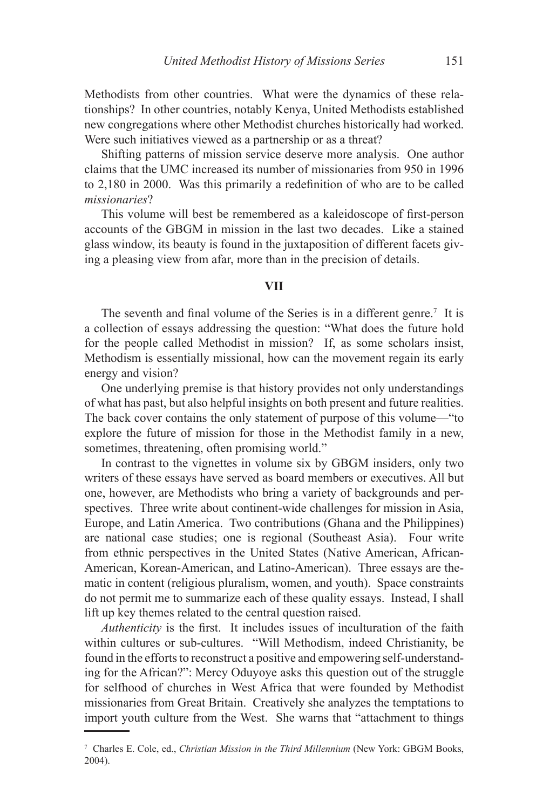Methodists from other countries. What were the dynamics of these relationships? In other countries, notably Kenya, United Methodists established new congregations where other Methodist churches historically had worked. Were such initiatives viewed as a partnership or as a threat?

Shifting patterns of mission service deserve more analysis. One author claims that the UMC increased its number of missionaries from 950 in 1996 to 2,180 in 2000. Was this primarily a redefinition of who are to be called *missionaries*?

This volume will best be remembered as a kaleidoscope of first-person accounts of the GBGM in mission in the last two decades. Like a stained glass window, its beauty is found in the juxtaposition of different facets giving a pleasing view from afar, more than in the precision of details.

### **VII**

The seventh and final volume of the Series is in a different genre.<sup>7</sup> It is a collection of essays addressing the question: "What does the future hold for the people called Methodist in mission? If, as some scholars insist, Methodism is essentially missional, how can the movement regain its early energy and vision?

One underlying premise is that history provides not only understandings of what has past, but also helpful insights on both present and future realities. The back cover contains the only statement of purpose of this volume—"to explore the future of mission for those in the Methodist family in a new, sometimes, threatening, often promising world."

In contrast to the vignettes in volume six by GBGM insiders, only two writers of these essays have served as board members or executives. All but one, however, are Methodists who bring a variety of backgrounds and perspectives. Three write about continent-wide challenges for mission in Asia, Europe, and Latin America. Two contributions (Ghana and the Philippines) are national case studies; one is regional (Southeast Asia). Four write from ethnic perspectives in the United States (Native American, African-American, Korean-American, and Latino-American). Three essays are thematic in content (religious pluralism, women, and youth). Space constraints do not permit me to summarize each of these quality essays. Instead, I shall lift up key themes related to the central question raised.

*Authenticity* is the first. It includes issues of inculturation of the faith within cultures or sub-cultures. "Will Methodism, indeed Christianity, be found in the efforts to reconstruct a positive and empowering self-understanding for the African?": Mercy Oduyoye asks this question out of the struggle for selfhood of churches in West Africa that were founded by Methodist missionaries from Great Britain. Creatively she analyzes the temptations to import youth culture from the West. She warns that "attachment to things

<sup>7</sup> Charles E. Cole, ed., *Christian Mission in the Third Millennium* (New York: GBGM Books, 2004).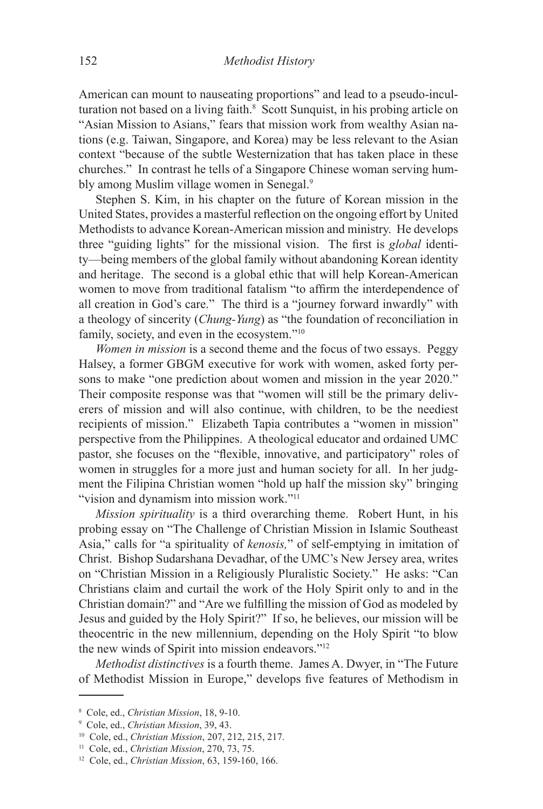American can mount to nauseating proportions" and lead to a pseudo-inculturation not based on a living faith.<sup>8</sup> Scott Sunquist, in his probing article on "Asian Mission to Asians," fears that mission work from wealthy Asian nations (e.g. Taiwan, Singapore, and Korea) may be less relevant to the Asian context "because of the subtle Westernization that has taken place in these churches." In contrast he tells of a Singapore Chinese woman serving humbly among Muslim village women in Senegal.<sup>9</sup>

Stephen S. Kim, in his chapter on the future of Korean mission in the United States, provides a masterful reflection on the ongoing effort by United Methodists to advance Korean-American mission and ministry. He develops three "guiding lights" for the missional vision. The first is *global* identity—being members of the global family without abandoning Korean identity and heritage. The second is a global ethic that will help Korean-American women to move from traditional fatalism "to affirm the interdependence of all creation in God's care." The third is a "journey forward inwardly" with a theology of sincerity (*Chung-Yung*) as "the foundation of reconciliation in family, society, and even in the ecosystem."10

*Women in mission* is a second theme and the focus of two essays. Peggy Halsey, a former GBGM executive for work with women, asked forty persons to make "one prediction about women and mission in the year 2020." Their composite response was that "women will still be the primary deliverers of mission and will also continue, with children, to be the neediest recipients of mission." Elizabeth Tapia contributes a "women in mission" perspective from the Philippines. A theological educator and ordained UMC pastor, she focuses on the "flexible, innovative, and participatory" roles of women in struggles for a more just and human society for all. In her judgment the Filipina Christian women "hold up half the mission sky" bringing "vision and dynamism into mission work."<sup>11</sup>

*Mission spirituality* is a third overarching theme. Robert Hunt, in his probing essay on "The Challenge of Christian Mission in Islamic Southeast Asia," calls for "a spirituality of *kenosis,*" of self-emptying in imitation of Christ. Bishop Sudarshana Devadhar, of the UMC's New Jersey area, writes on "Christian Mission in a Religiously Pluralistic Society." He asks: "Can Christians claim and curtail the work of the Holy Spirit only to and in the Christian domain?" and "Are we fulfilling the mission of God as modeled by Jesus and guided by the Holy Spirit?" If so, he believes, our mission will be theocentric in the new millennium, depending on the Holy Spirit "to blow the new winds of Spirit into mission endeavors."12

*Methodist distinctives* is a fourth theme. James A. Dwyer, in "The Future of Methodist Mission in Europe," develops five features of Methodism in

<sup>8</sup> Cole, ed., *Christian Mission*, 18, 9-10.

<sup>9</sup> Cole, ed., *Christian Mission*, 39, 43.

<sup>10</sup> Cole, ed., *Christian Mission*, 207, 212, 215, 217.

<sup>11</sup> Cole, ed., *Christian Mission*, 270, 73, 75.

<sup>12</sup> Cole, ed., *Christian Mission*, 63, 159-160, 166.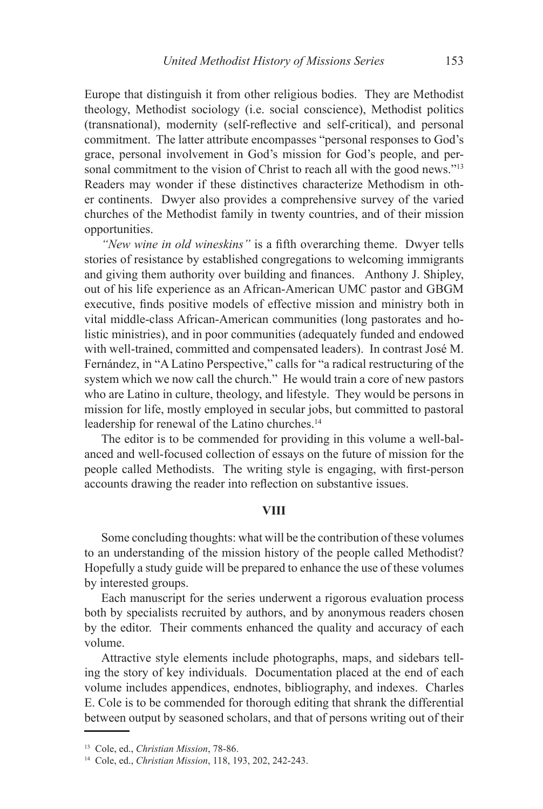Europe that distinguish it from other religious bodies. They are Methodist theology, Methodist sociology (i.e. social conscience), Methodist politics (transnational), modernity (self-reflective and self-critical), and personal commitment. The latter attribute encompasses "personal responses to God's grace, personal involvement in God's mission for God's people, and personal commitment to the vision of Christ to reach all with the good news."<sup>13</sup> Readers may wonder if these distinctives characterize Methodism in other continents. Dwyer also provides a comprehensive survey of the varied churches of the Methodist family in twenty countries, and of their mission opportunities.

*"New wine in old wineskins"* is a fifth overarching theme. Dwyer tells stories of resistance by established congregations to welcoming immigrants and giving them authority over building and finances. Anthony J. Shipley, out of his life experience as an African-American UMC pastor and GBGM executive, finds positive models of effective mission and ministry both in vital middle-class African-American communities (long pastorates and holistic ministries), and in poor communities (adequately funded and endowed with well-trained, committed and compensated leaders). In contrast José M. Fernández, in "A Latino Perspective," calls for "a radical restructuring of the system which we now call the church." He would train a core of new pastors who are Latino in culture, theology, and lifestyle. They would be persons in mission for life, mostly employed in secular jobs, but committed to pastoral leadership for renewal of the Latino churches.<sup>14</sup>

The editor is to be commended for providing in this volume a well-balanced and well-focused collection of essays on the future of mission for the people called Methodists. The writing style is engaging, with first-person accounts drawing the reader into reflection on substantive issues.

## **VIII**

Some concluding thoughts: what will be the contribution of these volumes to an understanding of the mission history of the people called Methodist? Hopefully a study guide will be prepared to enhance the use of these volumes by interested groups.

Each manuscript for the series underwent a rigorous evaluation process both by specialists recruited by authors, and by anonymous readers chosen by the editor. Their comments enhanced the quality and accuracy of each volume.

Attractive style elements include photographs, maps, and sidebars telling the story of key individuals. Documentation placed at the end of each volume includes appendices, endnotes, bibliography, and indexes. Charles E. Cole is to be commended for thorough editing that shrank the differential between output by seasoned scholars, and that of persons writing out of their

<sup>13</sup> Cole, ed., *Christian Mission*, 78-86.

<sup>14</sup> Cole, ed., *Christian Mission*, 118, 193, 202, 242-243.